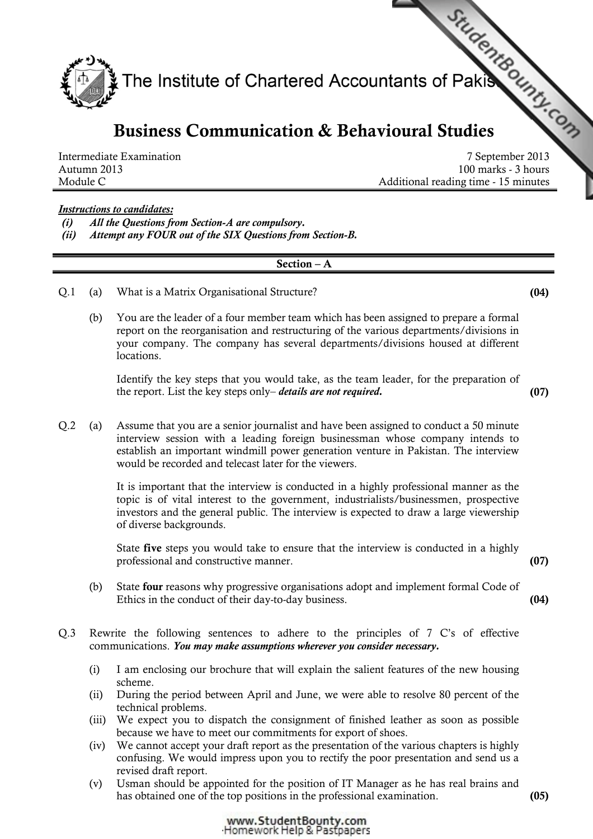

Intermediate Examination 7 September 2013 100 marks - 3 hours Module C **Module C** Additional reading time - 15 minutes

## Instructions to candidates:

- (i) All the Questions from Section-A are compulsory.
- (ii) Attempt any FOUR out of the SIX Questions from Section-B.

### Section – A

- Q.1 (a) What is a Matrix Organisational Structure? (04)
	- (b) You are the leader of a four member team which has been assigned to prepare a formal report on the reorganisation and restructuring of the various departments/divisions in your company. The company has several departments/divisions housed at different locations.

Identify the key steps that you would take, as the team leader, for the preparation of the report. List the key steps only– *details are not required.*  $(07)$ 

Q.2 (a) Assume that you are a senior journalist and have been assigned to conduct a 50 minute interview session with a leading foreign businessman whose company intends to establish an important windmill power generation venture in Pakistan. The interview would be recorded and telecast later for the viewers.

> It is important that the interview is conducted in a highly professional manner as the topic is of vital interest to the government, industrialists/businessmen, prospective investors and the general public. The interview is expected to draw a large viewership of diverse backgrounds.

State five steps you would take to ensure that the interview is conducted in a highly professional and constructive manner. (07)

- (b) State four reasons why progressive organisations adopt and implement formal Code of Ethics in the conduct of their day-to-day business. (04)
- Q.3 Rewrite the following sentences to adhere to the principles of 7 C's of effective communications. You may make assumptions wherever you consider necessary.
	- (i) I am enclosing our brochure that will explain the salient features of the new housing scheme.
	- (ii) During the period between April and June, we were able to resolve 80 percent of the technical problems.
	- (iii) We expect you to dispatch the consignment of finished leather as soon as possible because we have to meet our commitments for export of shoes.
	- (iv) We cannot accept your draft report as the presentation of the various chapters is highly confusing. We would impress upon you to rectify the poor presentation and send us a revised draft report.
	- (v) Usman should be appointed for the position of IT Manager as he has real brains and has obtained one of the top positions in the professional examination. (05)

www.StudentBounty.com Homework Help & Pastpapers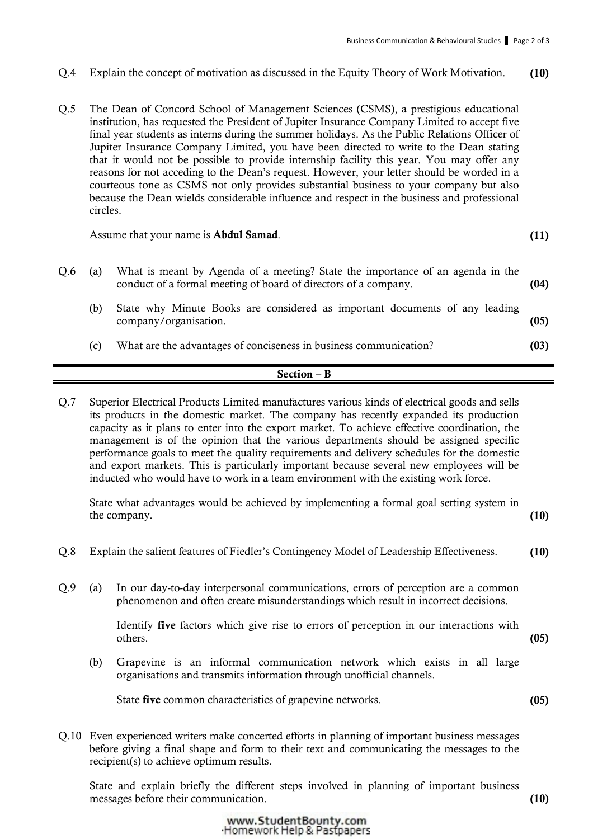- Q.4 Explain the concept of motivation as discussed in the Equity Theory of Work Motivation. (10)
- Q.5 The Dean of Concord School of Management Sciences (CSMS), a prestigious educational institution, has requested the President of Jupiter Insurance Company Limited to accept five final year students as interns during the summer holidays. As the Public Relations Officer of Jupiter Insurance Company Limited, you have been directed to write to the Dean stating that it would not be possible to provide internship facility this year. You may offer any reasons for not acceding to the Dean's request. However, your letter should be worded in a courteous tone as CSMS not only provides substantial business to your company but also because the Dean wields considerable influence and respect in the business and professional circles.

| Assume that your name is <b>Abdul Samad</b> . | (11) |
|-----------------------------------------------|------|
|-----------------------------------------------|------|

- Q.6 (a) What is meant by Agenda of a meeting? State the importance of an agenda in the conduct of a formal meeting of board of directors of a company. (04)
	- (b) State why Minute Books are considered as important documents of any leading company/organisation. (05)
	- (c) What are the advantages of conciseness in business communication? (03)

# Section – B

Q.7 Superior Electrical Products Limited manufactures various kinds of electrical goods and sells its products in the domestic market. The company has recently expanded its production capacity as it plans to enter into the export market. To achieve effective coordination, the management is of the opinion that the various departments should be assigned specific performance goals to meet the quality requirements and delivery schedules for the domestic and export markets. This is particularly important because several new employees will be inducted who would have to work in a team environment with the existing work force.

State what advantages would be achieved by implementing a formal goal setting system in the company. (10)

- Q.8 Explain the salient features of Fiedler's Contingency Model of Leadership Effectiveness. (10)
- Q.9 (a) In our day-to-day interpersonal communications, errors of perception are a common phenomenon and often create misunderstandings which result in incorrect decisions.

Identify five factors which give rise to errors of perception in our interactions with  $\alpha$  others.  $(05)$ 

(b) Grapevine is an informal communication network which exists in all large organisations and transmits information through unofficial channels.

State five common characteristics of grapevine networks. (05)

Q.10 Even experienced writers make concerted efforts in planning of important business messages before giving a final shape and form to their text and communicating the messages to the recipient(s) to achieve optimum results.

State and explain briefly the different steps involved in planning of important business messages before their communication. (10)